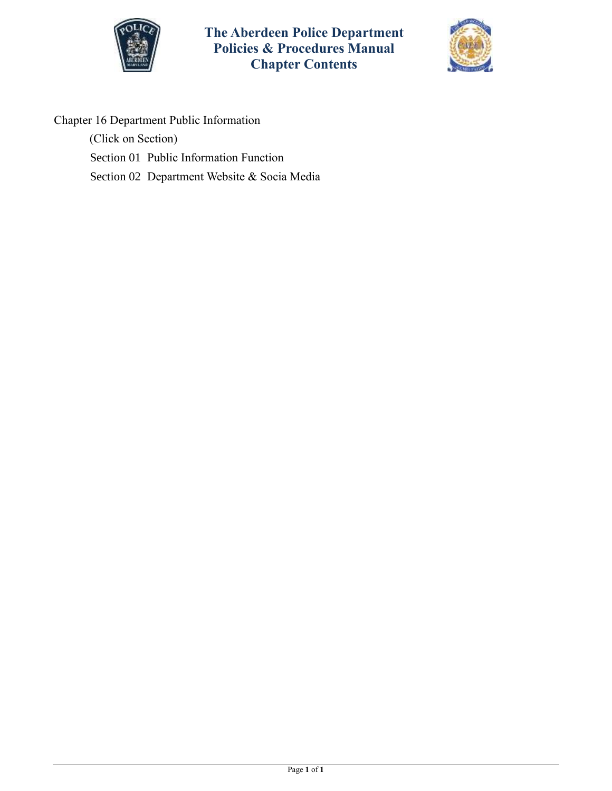



Chapter 16 Department Public Information

(Click on Section)

[Section 01 Public Information Function](#page-1-0)

[Section 02 Department Website & Socia Media](#page-4-0)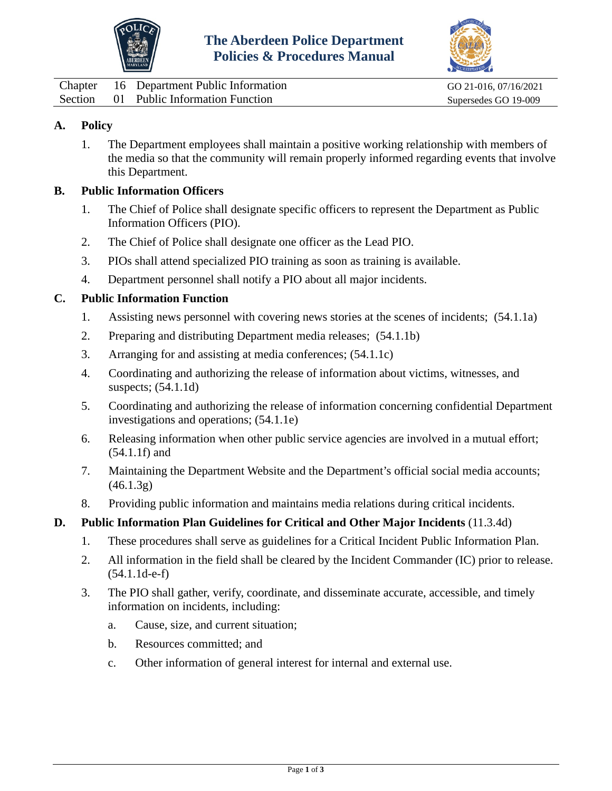



<span id="page-1-0"></span>

| Chapter | 16 Department Public Information       | GO 21-016, 07/16/2021 |
|---------|----------------------------------------|-----------------------|
|         | Section 01 Public Information Function | Supersedes GO 19-009  |

# **A. Policy**

1. The Department employees shall maintain a positive working relationship with members of the media so that the community will remain properly informed regarding events that involve this Department.

### **B. Public Information Officers**

- 1. The Chief of Police shall designate specific officers to represent the Department as Public Information Officers (PIO).
- 2. The Chief of Police shall designate one officer as the Lead PIO.
- 3. PIOs shall attend specialized PIO training as soon as training is available.
- 4. Department personnel shall notify a PIO about all major incidents.

### **C. Public Information Function**

- 1. Assisting news personnel with covering news stories at the scenes of incidents; (54.1.1a)
- 2. Preparing and distributing Department media releases; (54.1.1b)
- 3. Arranging for and assisting at media conferences; (54.1.1c)
- 4. Coordinating and authorizing the release of information about victims, witnesses, and suspects; (54.1.1d)
- 5. Coordinating and authorizing the release of information concerning confidential Department investigations and operations; (54.1.1e)
- 6. Releasing information when other public service agencies are involved in a mutual effort; (54.1.1f) and
- 7. Maintaining the Department Website and the Department's official social media accounts;  $(46.1.3g)$
- 8. Providing public information and maintains media relations during critical incidents.

### **D. Public Information Plan Guidelines for Critical and Other Major Incidents** (11.3.4d)

- 1. These procedures shall serve as guidelines for a Critical Incident Public Information Plan.
- 2. All information in the field shall be cleared by the Incident Commander (IC) prior to release. (54.1.1d-e-f)
- 3. The PIO shall gather, verify, coordinate, and disseminate accurate, accessible, and timely information on incidents, including:
	- a. Cause, size, and current situation;
	- b. Resources committed; and
	- c. Other information of general interest for internal and external use.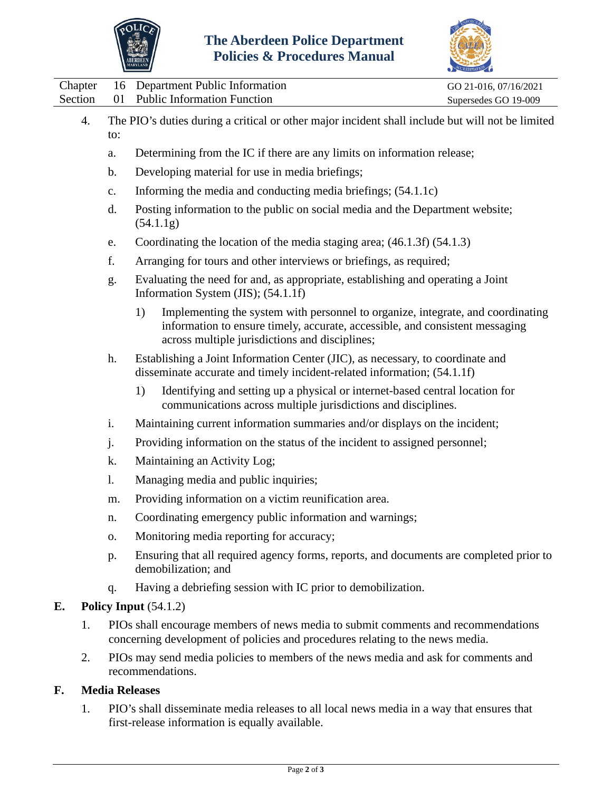



| Chapter<br>Section | 16<br>01                                                                                                                                                  |                                                                                                                                                                    | Department Public Information                                                                                                                                                                                     | GO 21-016, 07/16/2021 |  |  |  |  |
|--------------------|-----------------------------------------------------------------------------------------------------------------------------------------------------------|--------------------------------------------------------------------------------------------------------------------------------------------------------------------|-------------------------------------------------------------------------------------------------------------------------------------------------------------------------------------------------------------------|-----------------------|--|--|--|--|
|                    |                                                                                                                                                           |                                                                                                                                                                    | <b>Public Information Function</b><br>Supersedes GO 19-009                                                                                                                                                        |                       |  |  |  |  |
| 4.                 | The PIO's duties during a critical or other major incident shall include but will not be limited<br>to:                                                   |                                                                                                                                                                    |                                                                                                                                                                                                                   |                       |  |  |  |  |
|                    | a.                                                                                                                                                        |                                                                                                                                                                    | Determining from the IC if there are any limits on information release;                                                                                                                                           |                       |  |  |  |  |
|                    | b.                                                                                                                                                        | Developing material for use in media briefings;                                                                                                                    |                                                                                                                                                                                                                   |                       |  |  |  |  |
|                    | $\mathbf{c}$ .                                                                                                                                            | Informing the media and conducting media briefings; (54.1.1c)                                                                                                      |                                                                                                                                                                                                                   |                       |  |  |  |  |
|                    | d.                                                                                                                                                        | Posting information to the public on social media and the Department website;<br>(54.1.1g)                                                                         |                                                                                                                                                                                                                   |                       |  |  |  |  |
|                    | Coordinating the location of the media staging area; (46.1.3f) (54.1.3)<br>e.                                                                             |                                                                                                                                                                    |                                                                                                                                                                                                                   |                       |  |  |  |  |
|                    | f.                                                                                                                                                        |                                                                                                                                                                    | Arranging for tours and other interviews or briefings, as required;                                                                                                                                               |                       |  |  |  |  |
|                    | g.                                                                                                                                                        |                                                                                                                                                                    | Evaluating the need for and, as appropriate, establishing and operating a Joint<br>Information System (JIS); (54.1.1f)                                                                                            |                       |  |  |  |  |
|                    |                                                                                                                                                           | 1)                                                                                                                                                                 | Implementing the system with personnel to organize, integrate, and coordinating<br>information to ensure timely, accurate, accessible, and consistent messaging<br>across multiple jurisdictions and disciplines; |                       |  |  |  |  |
|                    | Establishing a Joint Information Center (JIC), as necessary, to coordinate and<br>disseminate accurate and timely incident-related information; (54.1.1f) |                                                                                                                                                                    |                                                                                                                                                                                                                   |                       |  |  |  |  |
|                    |                                                                                                                                                           | 1)                                                                                                                                                                 | Identifying and setting up a physical or internet-based central location for<br>communications across multiple jurisdictions and disciplines.                                                                     |                       |  |  |  |  |
|                    | i.                                                                                                                                                        |                                                                                                                                                                    | Maintaining current information summaries and/or displays on the incident;                                                                                                                                        |                       |  |  |  |  |
|                    | j.                                                                                                                                                        | Providing information on the status of the incident to assigned personnel;                                                                                         |                                                                                                                                                                                                                   |                       |  |  |  |  |
|                    | k.                                                                                                                                                        |                                                                                                                                                                    | Maintaining an Activity Log;                                                                                                                                                                                      |                       |  |  |  |  |
|                    | 1.<br>Managing media and public inquiries;                                                                                                                |                                                                                                                                                                    |                                                                                                                                                                                                                   |                       |  |  |  |  |
|                    | m.                                                                                                                                                        |                                                                                                                                                                    | Providing information on a victim reunification area.                                                                                                                                                             |                       |  |  |  |  |
|                    | n.                                                                                                                                                        |                                                                                                                                                                    | Coordinating emergency public information and warnings;                                                                                                                                                           |                       |  |  |  |  |
|                    | Monitoring media reporting for accuracy;<br>0.                                                                                                            |                                                                                                                                                                    |                                                                                                                                                                                                                   |                       |  |  |  |  |
|                    | p.                                                                                                                                                        |                                                                                                                                                                    | Ensuring that all required agency forms, reports, and documents are completed prior to<br>demobilization; and                                                                                                     |                       |  |  |  |  |
|                    | q.                                                                                                                                                        |                                                                                                                                                                    | Having a debriefing session with IC prior to demobilization.                                                                                                                                                      |                       |  |  |  |  |
| E.                 |                                                                                                                                                           | Policy Input $(54.1.2)$                                                                                                                                            |                                                                                                                                                                                                                   |                       |  |  |  |  |
| 1.                 |                                                                                                                                                           | PIOs shall encourage members of news media to submit comments and recommendations<br>concerning development of policies and procedures relating to the news media. |                                                                                                                                                                                                                   |                       |  |  |  |  |
| 2.                 |                                                                                                                                                           | PIOs may send media policies to members of the news media and ask for comments and<br>recommendations.                                                             |                                                                                                                                                                                                                   |                       |  |  |  |  |
| F.                 |                                                                                                                                                           | <b>Media Releases</b>                                                                                                                                              |                                                                                                                                                                                                                   |                       |  |  |  |  |
|                    |                                                                                                                                                           |                                                                                                                                                                    | $\text{DIO}$ and discoming mode releases to all local name mode in a way that appenee that                                                                                                                        |                       |  |  |  |  |

1. PIO's shall disseminate media releases to all local news media in a way that ensures that first-release information is equally available.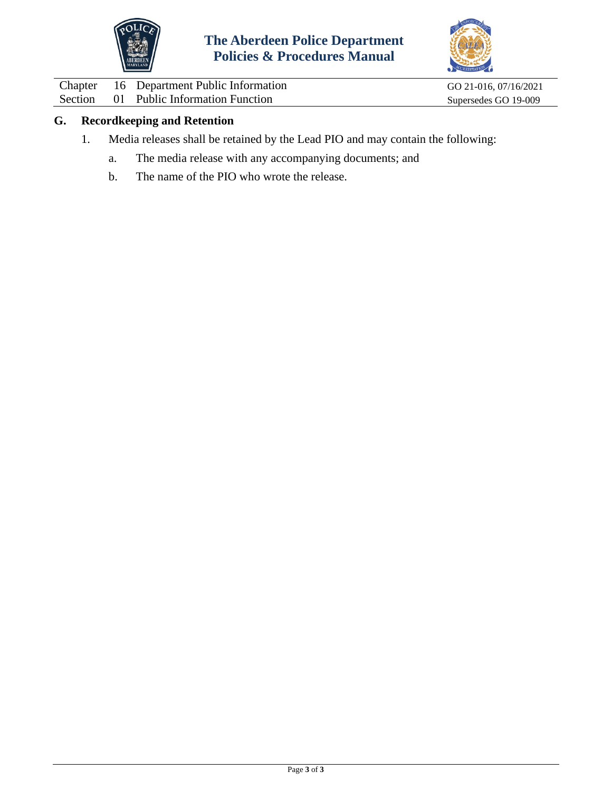



Chapter 16 Department Public Information GO 21-016, 07/16/2021<br>Section 01 Public Information Function Supersedes GO 19-009 Public Information Function

# **G. Recordkeeping and Retention**

- 1. Media releases shall be retained by the Lead PIO and may contain the following:
	- a. The media release with any accompanying documents; and
	- b. The name of the PIO who wrote the release.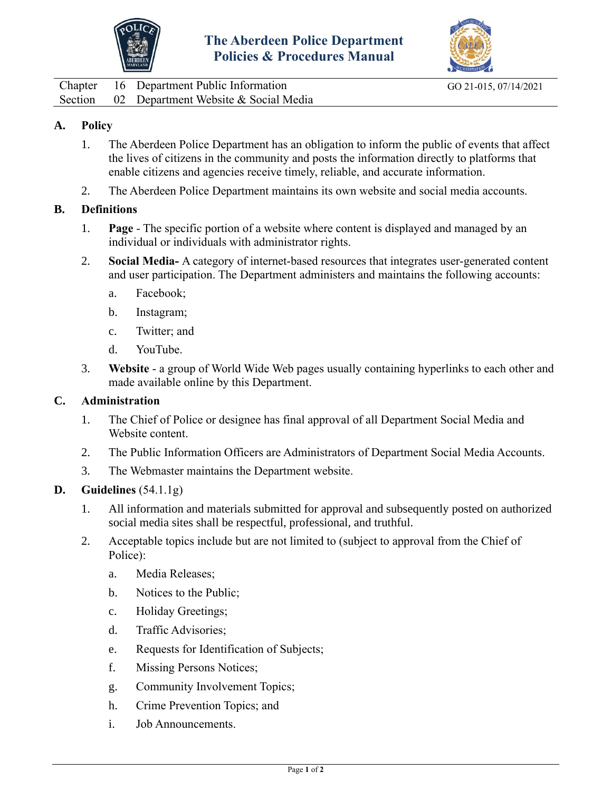



<span id="page-4-0"></span>Chapter 16 Department Public Information GO 21-015, 07/14/2021 Section 02 Department Website & Social Media

# **A. Policy**

- 1. The Aberdeen Police Department has an obligation to inform the public of events that affect the lives of citizens in the community and posts the information directly to platforms that enable citizens and agencies receive timely, reliable, and accurate information.
- 2. The Aberdeen Police Department maintains its own website and social media accounts.

# **B. Definitions**

- 1. **Page** The specific portion of a website where content is displayed and managed by an individual or individuals with administrator rights.
- 2. **Social Media-** A category of internet-based resources that integrates user-generated content and user participation. The Department administers and maintains the following accounts:
	- a. Facebook;
	- b. Instagram;
	- c. Twitter; and
	- d. YouTube.
- 3. **Website** a group of World Wide Web pages usually containing hyperlinks to each other and made available online by this Department.

## **C. Administration**

- 1. The Chief of Police or designee has final approval of all Department Social Media and Website content.
- 2. The Public Information Officers are Administrators of Department Social Media Accounts.
- 3. The Webmaster maintains the Department website.

### **D. Guidelines** (54.1.1g)

- 1. All information and materials submitted for approval and subsequently posted on authorized social media sites shall be respectful, professional, and truthful.
- 2. Acceptable topics include but are not limited to (subject to approval from the Chief of Police):
	- a. Media Releases;
	- b. Notices to the Public;
	- c. Holiday Greetings;
	- d. Traffic Advisories;
	- e. Requests for Identification of Subjects;
	- f. Missing Persons Notices;
	- g. Community Involvement Topics;
	- h. Crime Prevention Topics; and
	- i. Job Announcements.